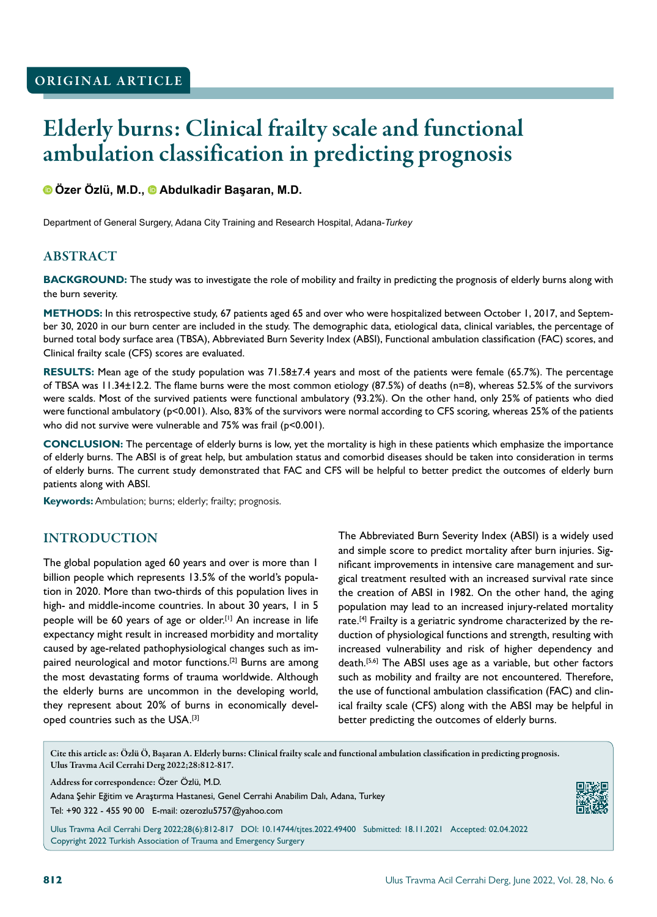# Elderly burns: Clinical frailty scale and functional ambulation classification in predicting prognosis

**Özer Özlü, M.D.,Abdulkadir Başaran, M.D.**

Department of General Surgery, Adana City Training and Research Hospital, Adana-*Turkey*

# ABSTRACT

**BACKGROUND:** The study was to investigate the role of mobility and frailty in predicting the prognosis of elderly burns along with the burn severity.

**METHODS:** In this retrospective study, 67 patients aged 65 and over who were hospitalized between October 1, 2017, and September 30, 2020 in our burn center are included in the study. The demographic data, etiological data, clinical variables, the percentage of burned total body surface area (TBSA), Abbreviated Burn Severity Index (ABSI), Functional ambulation classification (FAC) scores, and Clinical frailty scale (CFS) scores are evaluated.

**RESULTS:** Mean age of the study population was 71.58±7.4 years and most of the patients were female (65.7%). The percentage of TBSA was 11.34±12.2. The flame burns were the most common etiology (87.5%) of deaths (n=8), whereas 52.5% of the survivors were scalds. Most of the survived patients were functional ambulatory (93.2%). On the other hand, only 25% of patients who died were functional ambulatory (p<0.001). Also, 83% of the survivors were normal according to CFS scoring, whereas 25% of the patients who did not survive were vulnerable and 75% was frail (p<0.001).

**CONCLUSION:** The percentage of elderly burns is low, yet the mortality is high in these patients which emphasize the importance of elderly burns. The ABSI is of great help, but ambulation status and comorbid diseases should be taken into consideration in terms of elderly burns. The current study demonstrated that FAC and CFS will be helpful to better predict the outcomes of elderly burn patients along with ABSI.

**Keywords:** Ambulation; burns; elderly; frailty; prognosis.

## INTRODUCTION

The global population aged 60 years and over is more than 1 billion people which represents 13.5% of the world's population in 2020. More than two-thirds of this population lives in high- and middle-income countries. In about 30 years, I in 5 people will be 60 years of age or older.[1] An increase in life expectancy might result in increased morbidity and mortality caused by age-related pathophysiological changes such as impaired neurological and motor functions.<sup>[2]</sup> Burns are among the most devastating forms of trauma worldwide. Although the elderly burns are uncommon in the developing world, they represent about 20% of burns in economically developed countries such as the USA.<sup>[3]</sup>

The Abbreviated Burn Severity Index (ABSI) is a widely used and simple score to predict mortality after burn injuries. Significant improvements in intensive care management and surgical treatment resulted with an increased survival rate since the creation of ABSI in 1982. On the other hand, the aging population may lead to an increased injury-related mortality rate.[4] Frailty is a geriatric syndrome characterized by the reduction of physiological functions and strength, resulting with increased vulnerability and risk of higher dependency and death.[5,6] The ABSI uses age as a variable, but other factors such as mobility and frailty are not encountered. Therefore, the use of functional ambulation classification (FAC) and clinical frailty scale (CFS) along with the ABSI may be helpful in better predicting the outcomes of elderly burns.

Cite this article as: Özlü Ö, Başaran A. Elderly burns: Clinical frailty scale and functional ambulation classification in predicting prognosis. Ulus Travma Acil Cerrahi Derg 2022;28:812-817.

Address for correspondence: Özer Özlü, M.D.

Adana Şehir Eğitim ve Araştırma Hastanesi, Genel Cerrahi Anabilim Dalı, Adana, Turkey

Tel: +90 322 - 455 90 00 E-mail: ozerozlu5757@yahoo.com



Ulus Travma Acil Cerrahi Derg 2022;28(6):812-817 DOI: 10.14744/tjtes.2022.49400 Submitted: 18.11.2021 Accepted: 02.04.2022 Copyright 2022 Turkish Association of Trauma and Emergency Surgery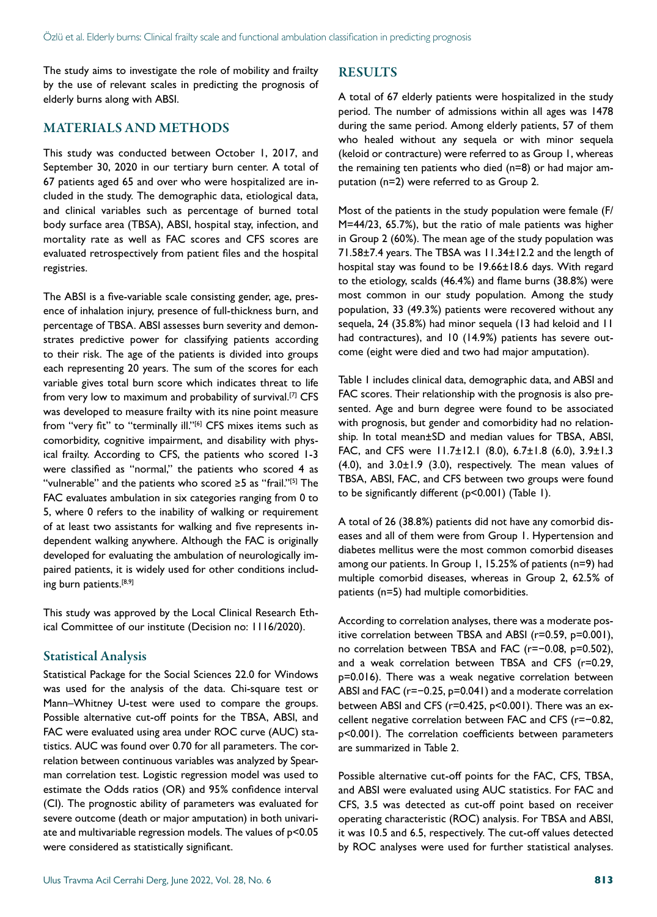The study aims to investigate the role of mobility and frailty by the use of relevant scales in predicting the prognosis of elderly burns along with ABSI.

#### MATERIALS AND METHODS

This study was conducted between October 1, 2017, and September 30, 2020 in our tertiary burn center. A total of 67 patients aged 65 and over who were hospitalized are included in the study. The demographic data, etiological data, and clinical variables such as percentage of burned total body surface area (TBSA), ABSI, hospital stay, infection, and mortality rate as well as FAC scores and CFS scores are evaluated retrospectively from patient files and the hospital registries.

The ABSI is a five-variable scale consisting gender, age, presence of inhalation injury, presence of full-thickness burn, and percentage of TBSA. ABSI assesses burn severity and demonstrates predictive power for classifying patients according to their risk. The age of the patients is divided into groups each representing 20 years. The sum of the scores for each variable gives total burn score which indicates threat to life from very low to maximum and probability of survival.<sup>[7]</sup> CFS was developed to measure frailty with its nine point measure from "very fit" to "terminally ill."<sup>[6]</sup> CFS mixes items such as comorbidity, cognitive impairment, and disability with physical frailty. According to CFS, the patients who scored 1-3 were classified as "normal," the patients who scored 4 as "vulnerable" and the patients who scored ≥5 as "frail."[5] The FAC evaluates ambulation in six categories ranging from 0 to 5, where 0 refers to the inability of walking or requirement of at least two assistants for walking and five represents independent walking anywhere. Although the FAC is originally developed for evaluating the ambulation of neurologically impaired patients, it is widely used for other conditions including burn patients.<sup>[8,9]</sup>

This study was approved by the Local Clinical Research Ethical Committee of our institute (Decision no: 1116/2020).

#### Statistical Analysis

Statistical Package for the Social Sciences 22.0 for Windows was used for the analysis of the data. Chi-square test or Mann–Whitney U-test were used to compare the groups. Possible alternative cut-off points for the TBSA, ABSI, and FAC were evaluated using area under ROC curve (AUC) statistics. AUC was found over 0.70 for all parameters. The correlation between continuous variables was analyzed by Spearman correlation test. Logistic regression model was used to estimate the Odds ratios (OR) and 95% confidence interval (CI). The prognostic ability of parameters was evaluated for severe outcome (death or major amputation) in both univariate and multivariable regression models. The values of p<0.05 were considered as statistically significant.

# RESULTS

A total of 67 elderly patients were hospitalized in the study period. The number of admissions within all ages was 1478 during the same period. Among elderly patients, 57 of them who healed without any sequela or with minor sequela (keloid or contracture) were referred to as Group 1, whereas the remaining ten patients who died (n=8) or had major amputation (n=2) were referred to as Group 2.

Most of the patients in the study population were female (F/ M=44/23, 65.7%), but the ratio of male patients was higher in Group 2 (60%). The mean age of the study population was 71.58±7.4 years. The TBSA was 11.34±12.2 and the length of hospital stay was found to be 19.66±18.6 days. With regard to the etiology, scalds (46.4%) and flame burns (38.8%) were most common in our study population. Among the study population, 33 (49.3%) patients were recovered without any sequela, 24 (35.8%) had minor sequela (13 had keloid and 11 had contractures), and 10 (14.9%) patients has severe outcome (eight were died and two had major amputation).

Table 1 includes clinical data, demographic data, and ABSI and FAC scores. Their relationship with the prognosis is also presented. Age and burn degree were found to be associated with prognosis, but gender and comorbidity had no relationship. In total mean±SD and median values for TBSA, ABSI, FAC, and CFS were 11.7±12.1 (8.0), 6.7±1.8 (6.0), 3.9±1.3  $(4.0)$ , and  $3.0\pm1.9$   $(3.0)$ , respectively. The mean values of TBSA, ABSI, FAC, and CFS between two groups were found to be significantly different (p<0.001) (Table 1).

A total of 26 (38.8%) patients did not have any comorbid diseases and all of them were from Group 1. Hypertension and diabetes mellitus were the most common comorbid diseases among our patients. In Group 1, 15.25% of patients (n=9) had multiple comorbid diseases, whereas in Group 2, 62.5% of patients (n=5) had multiple comorbidities.

According to correlation analyses, there was a moderate positive correlation between TBSA and ABSI (r=0.59, p=0.001), no correlation between TBSA and FAC (r=−0.08, p=0.502), and a weak correlation between TBSA and CFS (r=0.29, p=0.016). There was a weak negative correlation between ABSI and FAC (r=−0.25, p=0.041) and a moderate correlation between ABSI and CFS (r=0.425, p<0.001). There was an excellent negative correlation between FAC and CFS (r=−0.82, p<0.001). The correlation coefficients between parameters are summarized in Table 2.

Possible alternative cut-off points for the FAC, CFS, TBSA, and ABSI were evaluated using AUC statistics. For FAC and CFS, 3.5 was detected as cut-off point based on receiver operating characteristic (ROC) analysis. For TBSA and ABSI, it was 10.5 and 6.5, respectively. The cut-off values detected by ROC analyses were used for further statistical analyses.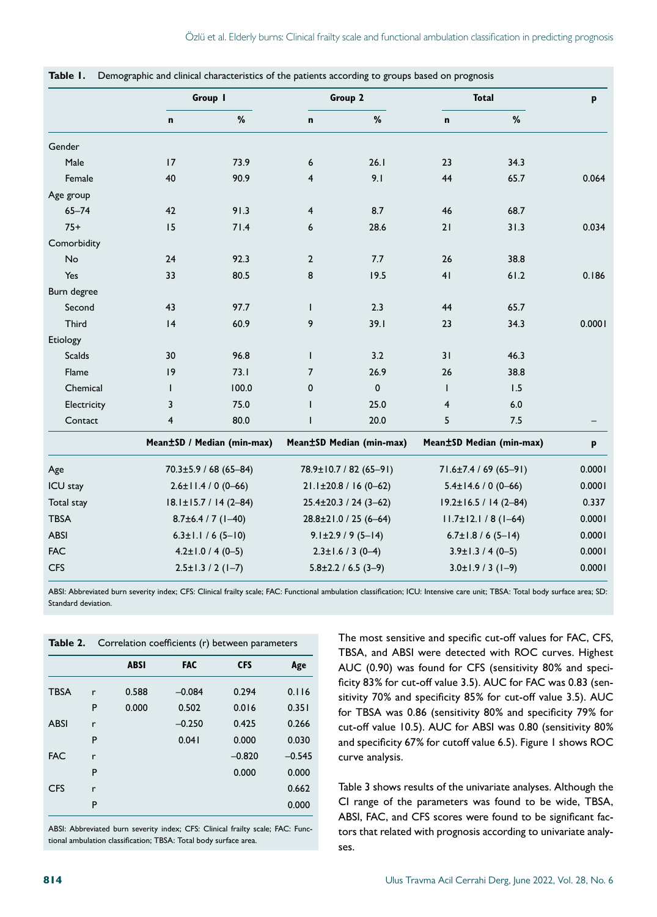|               | Group I                       |                            | Group 2                       |                          | <b>Total</b>                  |                          | p      |
|---------------|-------------------------------|----------------------------|-------------------------------|--------------------------|-------------------------------|--------------------------|--------|
|               | $\mathbf n$                   | $\%$                       | n                             | $\%$                     | $\mathbf n$                   | $\%$                     |        |
| Gender        |                               |                            |                               |                          |                               |                          |        |
| Male          | 17                            | 73.9                       | 6                             | 26.1                     | 23                            | 34.3                     |        |
| Female        | 40                            | 90.9                       | 4                             | 9.1                      | 44                            | 65.7                     | 0.064  |
| Age group     |                               |                            |                               |                          |                               |                          |        |
| $65 - 74$     | 42                            | 91.3                       | 4                             | 8.7                      | 46                            | 68.7                     |        |
| $75+$         | 15                            | 71.4                       | 6                             | 28.6                     | 21                            | 31.3                     | 0.034  |
| Comorbidity   |                               |                            |                               |                          |                               |                          |        |
| No            | 24                            | 92.3                       | $\overline{2}$                | 7.7                      | 26                            | 38.8                     |        |
| Yes           | 33                            | 80.5                       | 8                             | 19.5                     | 41                            | 61.2                     | 0.186  |
| Burn degree   |                               |                            |                               |                          |                               |                          |        |
| Second        | 43                            | 97.7                       | T                             | 2.3                      | 44                            | 65.7                     |        |
| Third         | 4                             | 60.9                       | 9                             | 39.1                     | 23                            | 34.3                     | 0.0001 |
| Etiology      |                               |                            |                               |                          |                               |                          |        |
| <b>Scalds</b> | 30                            | 96.8                       | T                             | 3.2                      | 31                            | 46.3                     |        |
| Flame         | 9                             | 73.1                       | $\overline{7}$                | 26.9                     | 26                            | 38.8                     |        |
| Chemical      | $\mathsf{I}$                  | 100.0                      | 0                             | 0                        | $\mathbf{I}$                  | 1.5                      |        |
| Electricity   | 3                             | 75.0                       | $\mathbf{I}$                  | 25.0                     | $\overline{4}$                | 6.0                      |        |
| Contact       | 4                             | 80.0                       | L                             | 20.0                     | 5                             | 7.5                      |        |
|               |                               | Mean±SD / Median (min-max) |                               | Mean±SD Median (min-max) |                               | Mean±SD Median (min-max) | p      |
| Age           | $70.3 \pm 5.9 / 68 (65 - 84)$ |                            | 78.9±10.7 / 82 (65-91)        |                          | 71.6±7.4 / 69 (65-91)         |                          | 0.0001 |
| ICU stay      | $2.6 \pm 11.4 / 0 (0 - 66)$   |                            | $21.1 \pm 20.8 / 16 (0 - 62)$ |                          | $5.4 \pm 14.6 / 0 (0 - 66)$   |                          | 0.0001 |
| Total stay    | $18.1 \pm 15.7 / 14 (2 - 84)$ |                            | $25.4 \pm 20.3 / 24 (3 - 62)$ |                          | $19.2 \pm 16.5 / 14 (2 - 84)$ |                          | 0.337  |
| <b>TBSA</b>   | $8.7\pm6.4$ / 7 (1-40)        |                            | $28.8 \pm 21.0 / 25 (6 - 64)$ |                          | $11.7\pm 12.1 / 8 (1-64)$     |                          | 0.0001 |
| <b>ABSI</b>   | $6.3 \pm 1.1 / 6 (5 - 10)$    |                            | $9.1 \pm 2.9 / 9 (5 - 14)$    |                          | $6.7 \pm 1.8 / 6 (5 - 14)$    |                          | 0.0001 |
| <b>FAC</b>    | $4.2 \pm 1.0 / 4 (0 - 5)$     |                            | $2.3 \pm 1.6 / 3 (0 - 4)$     |                          | $3.9 \pm 1.3 / 4 (0 - 5)$     |                          | 0.0001 |
| <b>CFS</b>    | $2.5 \pm 1.3 / 2 (1 - 7)$     |                            | $5.8 \pm 2.2 / 6.5 (3-9)$     |                          | $3.0 \pm 1.9 / 3 (1 - 9)$     |                          | 0.0001 |

**Table 1.** Demographic and clinical characteristics of the patients according to groups based on prognosis

ABSI: Abbreviated burn severity index; CFS: Clinical frailty scale; FAC: Functional ambulation classification; ICU: Intensive care unit; TBSA: Total body surface area; SD: Standard deviation.

|             |   | <b>Table 2.</b> Correlation coefficients (r) between parameters |            |            |          |  |  |  |
|-------------|---|-----------------------------------------------------------------|------------|------------|----------|--|--|--|
|             |   | <b>ABSI</b>                                                     | <b>FAC</b> | <b>CFS</b> | Age      |  |  |  |
| <b>TBSA</b> | r | 0.588                                                           | $-0.084$   | 0.294      | 0.116    |  |  |  |
|             | P | 0.000                                                           | 0.502      | 0.016      | 0.351    |  |  |  |
| <b>ABSI</b> | r |                                                                 | $-0.250$   | 0.425      | 0.266    |  |  |  |
|             | P |                                                                 | 0.041      | 0.000      | 0.030    |  |  |  |
| <b>FAC</b>  | r |                                                                 |            | $-0.820$   | $-0.545$ |  |  |  |
|             | P |                                                                 |            | 0.000      | 0.000    |  |  |  |
| <b>CFS</b>  | r |                                                                 |            |            | 0.662    |  |  |  |
|             | P |                                                                 |            |            | 0.000    |  |  |  |

ABSI: Abbreviated burn severity index; CFS: Clinical frailty scale; FAC: Functional ambulation classification; TBSA: Total body surface area.

The most sensitive and specific cut-off values for FAC, CFS, TBSA, and ABSI were detected with ROC curves. Highest AUC (0.90) was found for CFS (sensitivity 80% and specificity 83% for cut-off value 3.5). AUC for FAC was 0.83 (sensitivity 70% and specificity 85% for cut-off value 3.5). AUC for TBSA was 0.86 (sensitivity 80% and specificity 79% for cut-off value 10.5). AUC for ABSI was 0.80 (sensitivity 80% and specificity 67% for cutoff value 6.5). Figure 1 shows ROC curve analysis.

Table 3 shows results of the univariate analyses. Although the CI range of the parameters was found to be wide, TBSA, ABSI, FAC, and CFS scores were found to be significant factors that related with prognosis according to univariate analyses.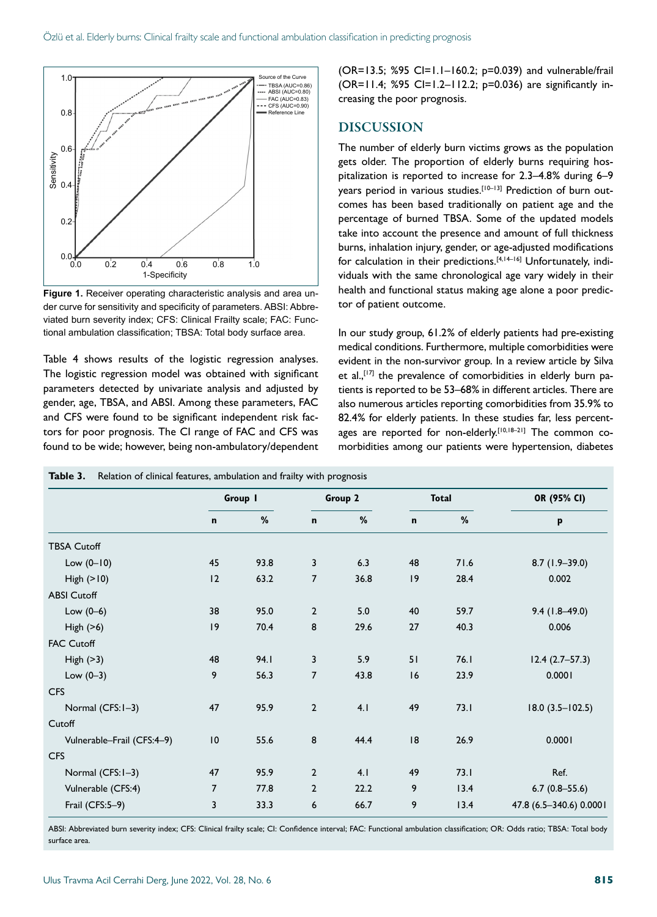

**Figure 1.** Receiver operating characteristic analysis and area under curve for sensitivity and specificity of parameters. ABSI: Abbreviated burn severity index; CFS: Clinical Frailty scale; FAC: Functional ambulation classification; TBSA: Total body surface area.

Table 4 shows results of the logistic regression analyses. The logistic regression model was obtained with significant parameters detected by univariate analysis and adjusted by gender, age, TBSA, and ABSI. Among these parameters, FAC and CFS were found to be significant independent risk factors for poor prognosis. The CI range of FAC and CFS was found to be wide; however, being non-ambulatory/dependent (OR=13.5; %95 CI=1.1–160.2; p=0.039) and vulnerable/frail (OR=11.4; %95 CI=1.2–112.2; p=0.036) are significantly increasing the poor prognosis.

#### DISCUSSION

The number of elderly burn victims grows as the population gets older. The proportion of elderly burns requiring hospitalization is reported to increase for 2.3–4.8% during 6–9 years period in various studies.<sup>[10-13]</sup> Prediction of burn outcomes has been based traditionally on patient age and the percentage of burned TBSA. Some of the updated models take into account the presence and amount of full thickness burns, inhalation injury, gender, or age-adjusted modifications for calculation in their predictions.<sup>[4,14-16]</sup> Unfortunately, individuals with the same chronological age vary widely in their health and functional status making age alone a poor predictor of patient outcome.

In our study group, 61.2% of elderly patients had pre-existing medical conditions. Furthermore, multiple comorbidities were evident in the non-survivor group. In a review article by Silva et al., $[17]$  the prevalence of comorbidities in elderly burn patients is reported to be 53–68% in different articles. There are also numerous articles reporting comorbidities from 35.9% to 82.4% for elderly patients. In these studies far, less percentages are reported for non-elderly.<sup>[10,18-21]</sup> The common comorbidities among our patients were hypertension, diabetes

|                            | Group 1         |      | Group 2        |      | <b>Total</b> |      | OR (95% CI)             |  |
|----------------------------|-----------------|------|----------------|------|--------------|------|-------------------------|--|
|                            | $\mathbf n$     | %    | $\mathbf n$    | %    | $\mathbf n$  | %    | p                       |  |
| <b>TBSA Cutoff</b>         |                 |      |                |      |              |      |                         |  |
| Low $(0-10)$               | 45              | 93.8 | 3              | 6.3  | 48           | 71.6 | $8.7(1.9-39.0)$         |  |
| High $(>10)$               | 12              | 63.2 | $\overline{7}$ | 36.8 | 9            | 28.4 | 0.002                   |  |
| <b>ABSI Cutoff</b>         |                 |      |                |      |              |      |                         |  |
| Low $(0-6)$                | 38              | 95.0 | $\overline{2}$ | 5.0  | 40           | 59.7 | $9.4(1.8-49.0)$         |  |
| High $(>6)$                | 9               | 70.4 | 8              | 29.6 | 27           | 40.3 | 0.006                   |  |
| <b>FAC Cutoff</b>          |                 |      |                |      |              |      |                         |  |
| High $(>3)$                | 48              | 94.1 | 3              | 5.9  | 51           | 76.1 | $12.4(2.7-57.3)$        |  |
| Low $(0-3)$                | 9               | 56.3 | $\overline{7}$ | 43.8 | 16           | 23.9 | 0.0001                  |  |
| <b>CFS</b>                 |                 |      |                |      |              |      |                         |  |
| Normal (CFS: I-3)          | 47              | 95.9 | $\overline{2}$ | 4.1  | 49           | 73.1 | $18.0 (3.5 - 102.5)$    |  |
| Cutoff                     |                 |      |                |      |              |      |                         |  |
| Vulnerable-Frail (CFS:4-9) | $\overline{10}$ | 55.6 | 8              | 44.4 | 8            | 26.9 | 0.0001                  |  |
| <b>CFS</b>                 |                 |      |                |      |              |      |                         |  |
| Normal (CFS: I-3)          | 47              | 95.9 | $\overline{2}$ | 4.1  | 49           | 73.1 | Ref.                    |  |
| Vulnerable (CFS:4)         | $\overline{7}$  | 77.8 | $\overline{2}$ | 22.2 | 9            | 13.4 | $6.7(0.8 - 55.6)$       |  |
| Frail (CFS:5-9)            | 3               | 33.3 | 6              | 66.7 | 9            | 13.4 | 47.8 (6.5-340.6) 0.0001 |  |

**Table 3.** Relation of clinical features, ambulation and frailty with prognosis

ABSI: Abbreviated burn severity index; CFS: Clinical frailty scale; CI: Confidence interval; FAC: Functional ambulation classification; OR: Odds ratio; TBSA: Total body surface area.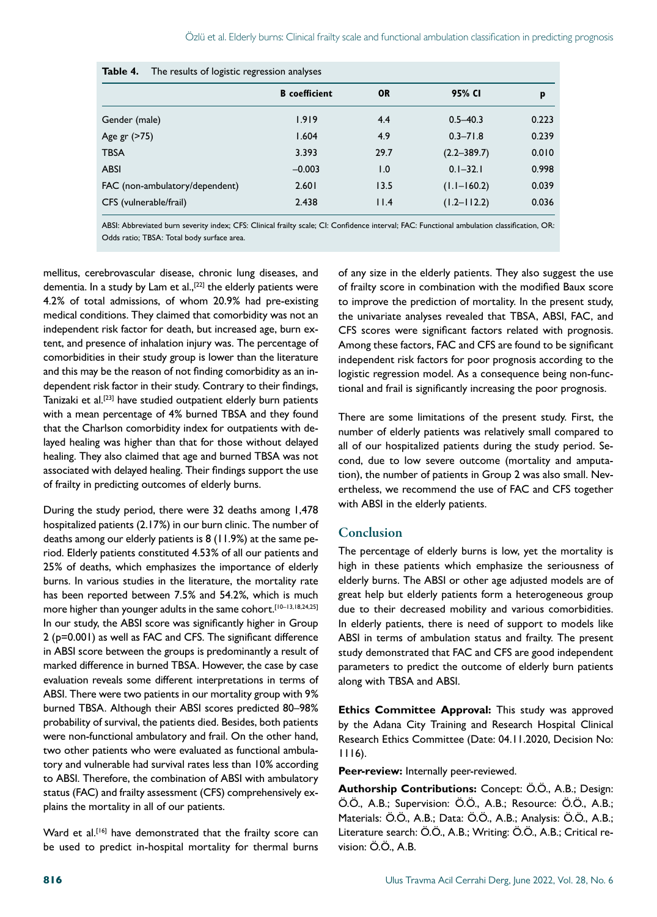| Table 4.<br>The results of logistic regression analyses |                      |           |                 |       |  |  |  |  |
|---------------------------------------------------------|----------------------|-----------|-----------------|-------|--|--|--|--|
|                                                         | <b>B</b> coefficient | <b>OR</b> | 95% CI          | p     |  |  |  |  |
| Gender (male)                                           | 1.919                | 4.4       | $0.5 - 40.3$    | 0.223 |  |  |  |  |
| Age gr (>75)                                            | 1.604                | 4.9       | $0.3 - 71.8$    | 0.239 |  |  |  |  |
| <b>TBSA</b>                                             | 3.393                | 29.7      | $(2.2 - 389.7)$ | 0.010 |  |  |  |  |
| <b>ABSI</b>                                             | $-0.003$             | 1.0       | $0.1 - 32.1$    | 0.998 |  |  |  |  |
| FAC (non-ambulatory/dependent)                          | 2.601                | 13.5      | $(1.1 - 160.2)$ | 0.039 |  |  |  |  |
| CFS (vulnerable/frail)                                  | 2.438                | 11.4      | $(1.2 - 112.2)$ | 0.036 |  |  |  |  |

ABSI: Abbreviated burn severity index; CFS: Clinical frailty scale; CI: Confidence interval; FAC: Functional ambulation classification, OR: Odds ratio; TBSA: Total body surface area.

mellitus, cerebrovascular disease, chronic lung diseases, and dementia. In a study by Lam et al.,<sup>[22]</sup> the elderly patients were 4.2% of total admissions, of whom 20.9% had pre-existing medical conditions. They claimed that comorbidity was not an independent risk factor for death, but increased age, burn extent, and presence of inhalation injury was. The percentage of comorbidities in their study group is lower than the literature and this may be the reason of not finding comorbidity as an independent risk factor in their study. Contrary to their findings, Tanizaki et al.<sup>[23]</sup> have studied outpatient elderly burn patients with a mean percentage of 4% burned TBSA and they found that the Charlson comorbidity index for outpatients with delayed healing was higher than that for those without delayed healing. They also claimed that age and burned TBSA was not associated with delayed healing. Their findings support the use of frailty in predicting outcomes of elderly burns.

During the study period, there were 32 deaths among 1,478 hospitalized patients (2.17%) in our burn clinic. The number of deaths among our elderly patients is 8 (11.9%) at the same period. Elderly patients constituted 4.53% of all our patients and 25% of deaths, which emphasizes the importance of elderly burns. In various studies in the literature, the mortality rate has been reported between 7.5% and 54.2%, which is much more higher than younger adults in the same cohort.<sup>[10-13,18,24,25]</sup> In our study, the ABSI score was significantly higher in Group 2 (p=0.001) as well as FAC and CFS. The significant difference in ABSI score between the groups is predominantly a result of marked difference in burned TBSA. However, the case by case evaluation reveals some different interpretations in terms of ABSI. There were two patients in our mortality group with 9% burned TBSA. Although their ABSI scores predicted 80–98% probability of survival, the patients died. Besides, both patients were non-functional ambulatory and frail. On the other hand, two other patients who were evaluated as functional ambulatory and vulnerable had survival rates less than 10% according to ABSI. Therefore, the combination of ABSI with ambulatory status (FAC) and frailty assessment (CFS) comprehensively explains the mortality in all of our patients.

Ward et al.<sup>[16]</sup> have demonstrated that the frailty score can be used to predict in-hospital mortality for thermal burns of any size in the elderly patients. They also suggest the use of frailty score in combination with the modified Baux score to improve the prediction of mortality. In the present study, the univariate analyses revealed that TBSA, ABSI, FAC, and CFS scores were significant factors related with prognosis. Among these factors, FAC and CFS are found to be significant independent risk factors for poor prognosis according to the logistic regression model. As a consequence being non-functional and frail is significantly increasing the poor prognosis.

There are some limitations of the present study. First, the number of elderly patients was relatively small compared to all of our hospitalized patients during the study period. Second, due to low severe outcome (mortality and amputation), the number of patients in Group 2 was also small. Nevertheless, we recommend the use of FAC and CFS together with ABSI in the elderly patients.

## Conclusion

The percentage of elderly burns is low, yet the mortality is high in these patients which emphasize the seriousness of elderly burns. The ABSI or other age adjusted models are of great help but elderly patients form a heterogeneous group due to their decreased mobility and various comorbidities. In elderly patients, there is need of support to models like ABSI in terms of ambulation status and frailty. The present study demonstrated that FAC and CFS are good independent parameters to predict the outcome of elderly burn patients along with TBSA and ABSI.

**Ethics Committee Approval:** This study was approved by the Adana City Training and Research Hospital Clinical Research Ethics Committee (Date: 04.11.2020, Decision No: 1116).

**Peer-review:** Internally peer-reviewed.

**Authorship Contributions:** Concept: Ö.Ö., A.B.; Design: Ö.Ö., A.B.; Supervision: Ö.Ö., A.B.; Resource: Ö.Ö., A.B.; Materials: Ö.Ö., A.B.; Data: Ö.Ö., A.B.; Analysis: Ö.Ö., A.B.; Literature search: Ö.Ö., A.B.; Writing: Ö.Ö., A.B.; Critical revision: Ö.Ö., A.B.